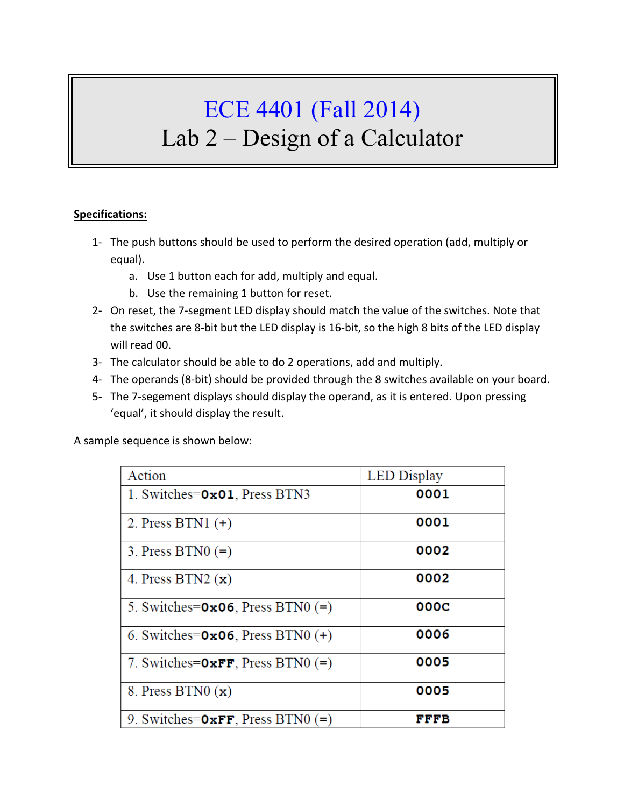## ECE 4401 (Fall 2014) Lab 2 – Design of a Calculator

## **Specifications:**

- 1- The push buttons should be used to perform the desired operation (add, multiply or equal).
	- a. Use 1 button each for add, multiply and equal.
	- b. Use the remaining 1 button for reset.
- 2- On reset, the 7-segment LED display should match the value of the switches. Note that the switches are 8-bit but the LED display is 16-bit, so the high 8 bits of the LED display will read 00.
- 3- The calculator should be able to do 2 operations, add and multiply.
- 4- The operands (8-bit) should be provided through the 8 switches available on your board.
- 5- The 7-segement displays should display the operand, as it is entered. Upon pressing 'equal', it should display the result.

A sample sequence is shown below:

| Action                                 | <b>LED</b> Display |
|----------------------------------------|--------------------|
| 1. Switches=0x01, Press BTN3           | 0001               |
| 2. Press BTN1 $(+)$                    | 0001               |
| 3. Press BTN0 $(=)$                    | 0002               |
| 4. Press BTN2 $(x)$                    | 0002               |
| 5. Switches= $0x06$ , Press BTN0 $(=)$ | 000C               |
| 6. Switches= $0x06$ , Press BTN0 $(+)$ | 0006               |
| 7. Switches= $0xFF$ , Press BTN0 (=)   | 0005               |
| 8. Press BTN0 $(x)$                    | 0005               |
| 9. Switches= $0xFF$ , Press BTN0 (=)   | FFFB               |